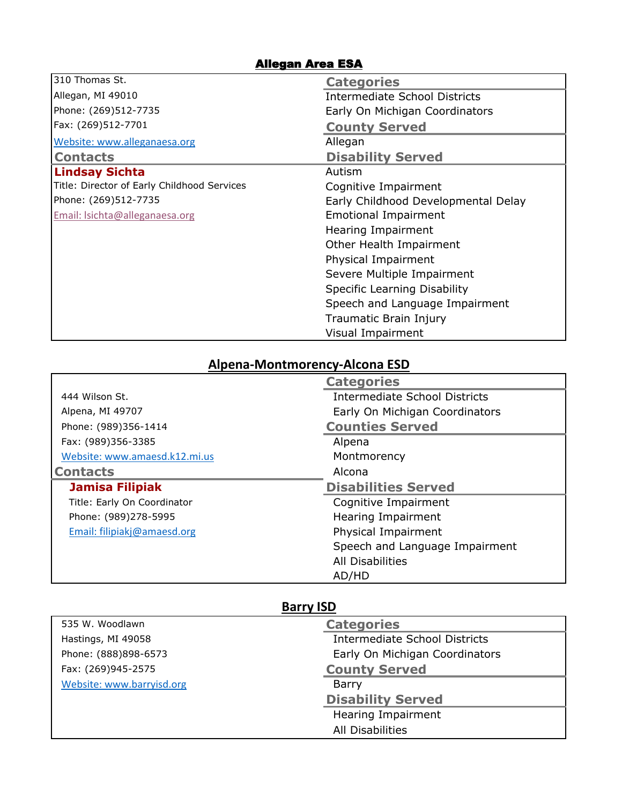## Allegan Area ESA

| 310 Thomas St.                              | <b>Categories</b>                    |
|---------------------------------------------|--------------------------------------|
| Allegan, MI 49010                           | <b>Intermediate School Districts</b> |
| Phone: (269)512-7735                        | Early On Michigan Coordinators       |
| Fax: (269)512-7701                          | <b>County Served</b>                 |
| Website: www.alleganaesa.org                | Allegan                              |
| <b>Contacts</b>                             | <b>Disability Served</b>             |
| <b>Lindsay Sichta</b>                       | Autism                               |
| Title: Director of Early Childhood Services | Cognitive Impairment                 |
| Phone: (269)512-7735                        | Early Childhood Developmental Delay  |
| Email: Isichta@alleganaesa.org              | <b>Emotional Impairment</b>          |
|                                             | <b>Hearing Impairment</b>            |
|                                             | Other Health Impairment              |
|                                             | Physical Impairment                  |
|                                             | Severe Multiple Impairment           |
|                                             | Specific Learning Disability         |
|                                             | Speech and Language Impairment       |
|                                             | Traumatic Brain Injury               |
|                                             | Visual Impairment                    |

## **Alpena-Montmorency-Alcona ESD**

|                               | <b>Categories</b>                    |
|-------------------------------|--------------------------------------|
| 444 Wilson St.                | <b>Intermediate School Districts</b> |
| Alpena, MI 49707              | Early On Michigan Coordinators       |
| Phone: (989)356-1414          | <b>Counties Served</b>               |
| Fax: (989)356-3385            | Alpena                               |
| Website: www.amaesd.k12.mi.us | Montmorency                          |
| <b>Contacts</b>               | Alcona                               |
|                               |                                      |
| <b>Jamisa Filipiak</b>        | <b>Disabilities Served</b>           |
| Title: Early On Coordinator   | Cognitive Impairment                 |
| Phone: (989)278-5995          | Hearing Impairment                   |
| Email: filipiakj@amaesd.org   | Physical Impairment                  |
|                               | Speech and Language Impairment       |
|                               | All Disabilities                     |

# **Barry ISD**

| 535 W. Woodlawn           | <b>Categories</b>                    |
|---------------------------|--------------------------------------|
| Hastings, MI 49058        | <b>Intermediate School Districts</b> |
| Phone: (888)898-6573      | Early On Michigan Coordinators       |
| Fax: (269)945-2575        | <b>County Served</b>                 |
| Website: www.barryisd.org | Barry                                |
|                           | <b>Disability Served</b>             |
|                           | Hearing Impairment                   |
|                           | All Disabilities                     |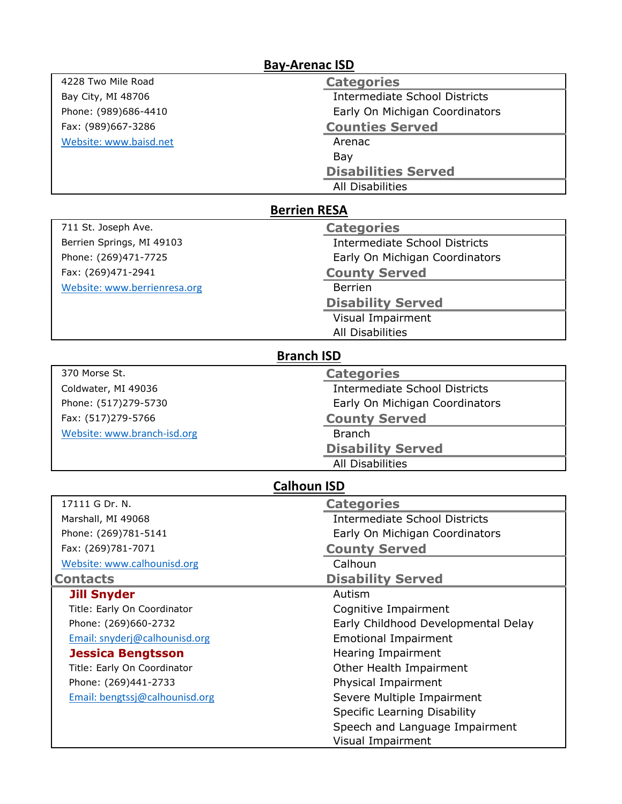|                                | <b>Bay-Arenac ISD</b>                |
|--------------------------------|--------------------------------------|
| 4228 Two Mile Road             | <b>Categories</b>                    |
| Bay City, MI 48706             | <b>Intermediate School Districts</b> |
| Phone: (989)686-4410           | Early On Michigan Coordinators       |
| Fax: (989)667-3286             | <b>Counties Served</b>               |
| Website: www.baisd.net         | Arenac                               |
|                                | Bay                                  |
|                                | <b>Disabilities Served</b>           |
|                                | <b>All Disabilities</b>              |
|                                | <b>Berrien RESA</b>                  |
| 711 St. Joseph Ave.            | <b>Categories</b>                    |
| Berrien Springs, MI 49103      | <b>Intermediate School Districts</b> |
| Phone: (269)471-7725           | Early On Michigan Coordinators       |
| Fax: (269)471-2941             | <b>County Served</b>                 |
| Website: www.berrienresa.org   | <b>Berrien</b>                       |
|                                | <b>Disability Served</b>             |
|                                | Visual Impairment                    |
|                                | <b>All Disabilities</b>              |
|                                | <b>Branch ISD</b>                    |
| 370 Morse St.                  | <b>Categories</b>                    |
| Coldwater, MI 49036            | <b>Intermediate School Districts</b> |
| Phone: (517)279-5730           | Early On Michigan Coordinators       |
| Fax: (517)279-5766             | <b>County Served</b>                 |
| Website: www.branch-isd.org    | <b>Branch</b>                        |
|                                | <b>Disability Served</b>             |
|                                | <b>All Disabilities</b>              |
|                                | <b>Calhoun ISD</b>                   |
| 17111 G Dr. N.                 | <b>Categories</b>                    |
| Marshall, MI 49068             | <b>Intermediate School Districts</b> |
| Phone: (269)781-5141           | Early On Michigan Coordinators       |
| Fax: (269)781-7071             | <b>County Served</b>                 |
| Website: www.calhounisd.org    | Calhoun                              |
| <b>Contacts</b>                | <b>Disability Served</b>             |
| <b>Jill Snyder</b>             | Autism                               |
| Title: Early On Coordinator    | Cognitive Impairment                 |
| Phone: (269)660-2732           | Early Childhood Developmental Delay  |
| Email: snyderj@calhounisd.org  | <b>Emotional Impairment</b>          |
| <b>Jessica Bengtsson</b>       | Hearing Impairment                   |
| Title: Early On Coordinator    | Other Health Impairment              |
| Phone: (269)441-2733           | Physical Impairment                  |
| Email: bengtssj@calhounisd.org | Severe Multiple Impairment           |
|                                | <b>Specific Learning Disability</b>  |
|                                | Speech and Language Impairment       |
|                                | Visual Impairment                    |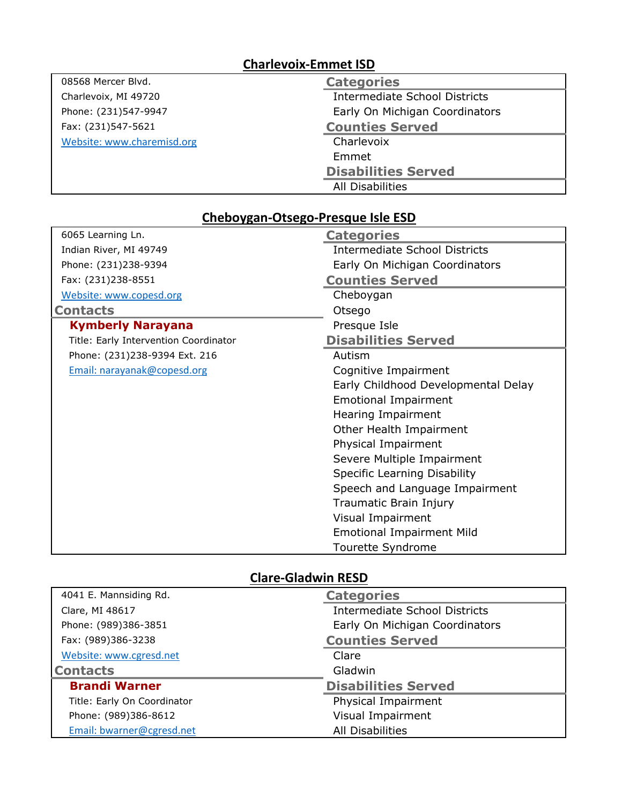# **Charlevoix-Emmet ISD**

| 08568 Mercer Blvd.         | <b>Categories</b>                    |
|----------------------------|--------------------------------------|
| Charlevoix, MI 49720       | <b>Intermediate School Districts</b> |
| Phone: (231)547-9947       | Early On Michigan Coordinators       |
| Fax: (231)547-5621         | <b>Counties Served</b>               |
| Website: www.charemisd.org | Charlevoix                           |
|                            | Emmet                                |
|                            | <b>Disabilities Served</b>           |
|                            | All Disabilities                     |

## **Cheboygan-Otsego-Presque Isle ESD**

| 6065 Learning Ln.                     | <b>Categories</b>                    |
|---------------------------------------|--------------------------------------|
| Indian River, MI 49749                | <b>Intermediate School Districts</b> |
| Phone: (231)238-9394                  | Early On Michigan Coordinators       |
| Fax: (231)238-8551                    | <b>Counties Served</b>               |
| Website: www.copesd.org               | Cheboygan                            |
| <b>Contacts</b>                       | Otsego                               |
| <b>Kymberly Narayana</b>              | Presque Isle                         |
| Title: Early Intervention Coordinator | <b>Disabilities Served</b>           |
| Phone: (231)238-9394 Ext. 216         | Autism                               |
| Email: narayanak@copesd.org           | Cognitive Impairment                 |
|                                       | Early Childhood Developmental Delay  |
|                                       | <b>Emotional Impairment</b>          |
|                                       | Hearing Impairment                   |
|                                       | Other Health Impairment              |
|                                       | Physical Impairment                  |
|                                       | Severe Multiple Impairment           |
|                                       | Specific Learning Disability         |
|                                       | Speech and Language Impairment       |
|                                       | Traumatic Brain Injury               |
|                                       | Visual Impairment                    |
|                                       | <b>Emotional Impairment Mild</b>     |
|                                       | Tourette Syndrome                    |

# **Clare-Gladwin RESD**

| 4041 E. Mannsiding Rd.      | <b>Categories</b>                    |
|-----------------------------|--------------------------------------|
| Clare, MI 48617             | <b>Intermediate School Districts</b> |
| Phone: (989)386-3851        | Early On Michigan Coordinators       |
| Fax: (989)386-3238          | <b>Counties Served</b>               |
| Website: www.cgresd.net     | Clare                                |
| <b>Contacts</b>             | Gladwin                              |
| <b>Brandi Warner</b>        | <b>Disabilities Served</b>           |
| Title: Early On Coordinator | Physical Impairment                  |
| Phone: (989)386-8612        | Visual Impairment                    |
| Email: bwarner@cgresd.net   | All Disabilities                     |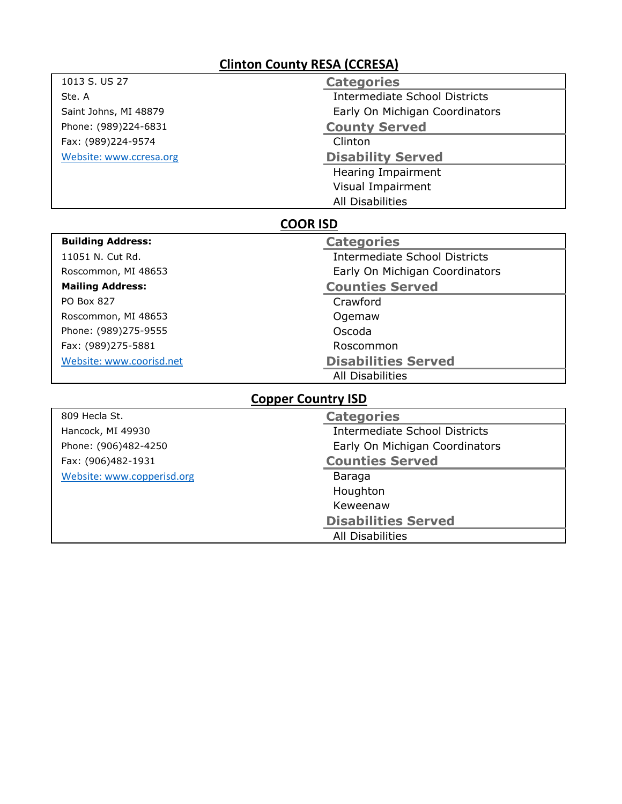# **Clinton County RESA (CCRESA)**

| 1013 S. US 27              | <b>Categories</b>                    |  |
|----------------------------|--------------------------------------|--|
| Ste. A                     | <b>Intermediate School Districts</b> |  |
| Saint Johns, MI 48879      | Early On Michigan Coordinators       |  |
| Phone: (989)224-6831       | <b>County Served</b>                 |  |
| Fax: (989)224-9574         | Clinton                              |  |
| Website: www.ccresa.org    | <b>Disability Served</b>             |  |
|                            | Hearing Impairment                   |  |
|                            | <b>Visual Impairment</b>             |  |
|                            | <b>All Disabilities</b>              |  |
| <b>COOR ISD</b>            |                                      |  |
| <b>Building Address:</b>   | <b>Categories</b>                    |  |
| 11051 N. Cut Rd.           | <b>Intermediate School Districts</b> |  |
| Roscommon, MI 48653        | Early On Michigan Coordinators       |  |
| <b>Mailing Address:</b>    | <b>Counties Served</b>               |  |
| PO Box 827                 | Crawford                             |  |
| Roscommon, MI 48653        | Ogemaw                               |  |
| Phone: (989)275-9555       | Oscoda                               |  |
| Fax: (989)275-5881         | Roscommon                            |  |
| Website: www.coorisd.net   | <b>Disabilities Served</b>           |  |
|                            | <b>All Disabilities</b>              |  |
| <b>Copper Country ISD</b>  |                                      |  |
| 809 Hecla St.              | <b>Categories</b>                    |  |
| Hancock, MI 49930          | <b>Intermediate School Districts</b> |  |
| Phone: (906)482-4250       | Early On Michigan Coordinators       |  |
| Fax: (906)482-1931         | <b>Counties Served</b>               |  |
| Website: www.copperisd.org | Baraga                               |  |
|                            | Houghton                             |  |
|                            | Keweenaw                             |  |
|                            | <b>Disabilities Served</b>           |  |
|                            | All Disabilities                     |  |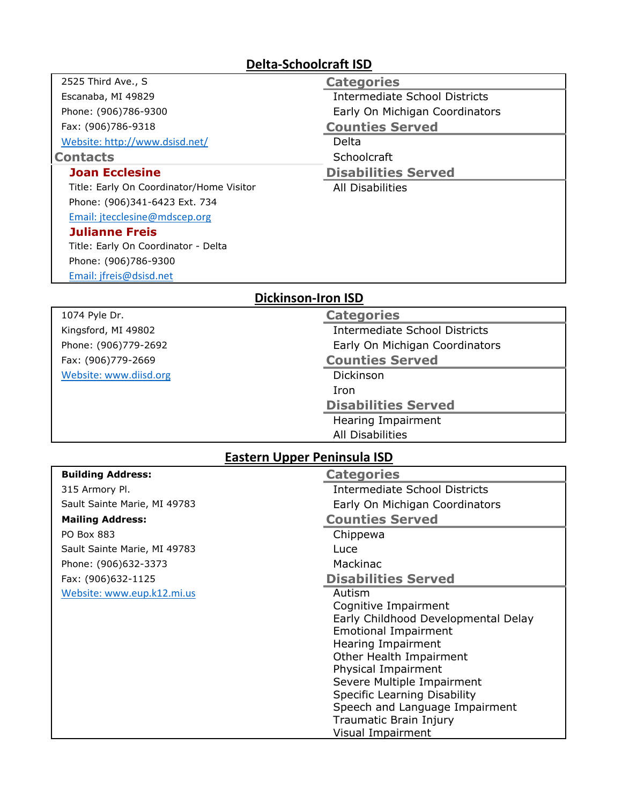#### **Delta-Schoolcraft ISD**

| 2525 Third Ave., S                       | <b>Categories</b>                    |  |
|------------------------------------------|--------------------------------------|--|
| Escanaba, MI 49829                       | Intermediate School Districts        |  |
| Phone: (906)786-9300                     | Early On Michigan Coordinators       |  |
| Fax: (906)786-9318                       | <b>Counties Served</b>               |  |
| Website: http://www.dsisd.net/           | Delta                                |  |
| <b>Contacts</b>                          | Schoolcraft                          |  |
| <b>Joan Ecclesine</b>                    | <b>Disabilities Served</b>           |  |
| Title: Early On Coordinator/Home Visitor | All Disabilities                     |  |
| Phone: (906)341-6423 Ext. 734            |                                      |  |
| Email: jtecclesine@mdscep.org            |                                      |  |
| <b>Julianne Freis</b>                    |                                      |  |
| Title: Early On Coordinator - Delta      |                                      |  |
| Phone: (906)786-9300                     |                                      |  |
| Email: jfreis@dsisd.net                  |                                      |  |
| <b>Dickinson-Iron ISD</b>                |                                      |  |
| 1074 Pyle Dr.                            | <b>Categories</b>                    |  |
| Kingsford, MI 49802                      | <b>Intermediate School Districts</b> |  |

Phone: (906)779-2692 **Early On Michigan Coordinators** Fax: (906)779-2669 **Counties Served** [Website: www.diisd.org](http://www.diisd.org/) Dickinson Iron **Disabilities Served** Hearing Impairment All Disabilities **Building Address: Categories** 315 Armory Pl. Intermediate School Districts Sault Sainte Marie, MI 49783 Early On Michigan Coordinators **Mailing Address: Counties Served** PO Box 883 Chippewa Sault Sainte Marie, MI 49783 Phone: (906)632-3373 Mackinac Fax: (906)632-1125 **Disabilities Served** [Website: www.eup.k12.mi.us](http://www.eup.k12.mi.us/) **Autism** Cognitive Impairment Early Childhood Developmental Delay Emotional Impairment Hearing Impairment Other Health Impairment Physical Impairment Severe Multiple Impairment Specific Learning Disability Speech and Language Impairment Traumatic Brain Injury Visual Impairment **Eastern Upper Peninsula ISD**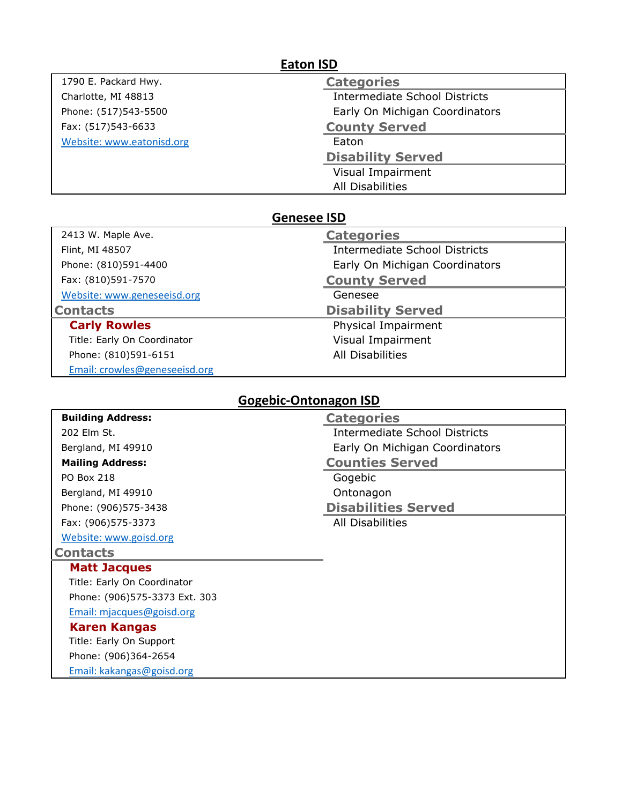## **Eaton ISD**

1790 E. Packard Hwy. Charlotte, MI 48813 Phone: (517)543-5500 Fax: (517)543-6633 [Website: www.eatonisd.org](http://www.eatonisd.org/)

| <b>Categories</b>                    |
|--------------------------------------|
| <b>Intermediate School Districts</b> |
| Early On Michigan Coordinators       |
| <b>County Served</b>                 |
| Eaton                                |
| <b>Disability Served</b>             |
| Visual Impairment                    |
| All Disabilities                     |

#### **Genesee ISD**

| 2413 W. Maple Ave.          | <b>Categories</b>                    |
|-----------------------------|--------------------------------------|
| Flint, MI 48507             | <b>Intermediate School Districts</b> |
| Phone: (810)591-4400        | Early On Michigan Coordinators       |
| Fax: (810)591-7570          | <b>County Served</b>                 |
| Website: www.geneseeisd.org | Genesee                              |
| <b>Contacts</b>             | <b>Disability Served</b>             |
| <b>Carly Rowles</b>         | Physical Impairment                  |
|                             |                                      |
| Title: Early On Coordinator | Visual Impairment                    |
| Phone: (810)591-6151        | <b>All Disabilities</b>              |

## **Gogebic-Ontonagon ISD**

| <b>Building Address:</b>      | <b>Categories</b>              |
|-------------------------------|--------------------------------|
| 202 Elm St.                   | Intermediate School Districts  |
| Bergland, MI 49910            | Early On Michigan Coordinators |
| <b>Mailing Address:</b>       | <b>Counties Served</b>         |
| <b>PO Box 218</b>             | Gogebic                        |
| Bergland, MI 49910            | Ontonagon                      |
| Phone: (906)575-3438          | <b>Disabilities Served</b>     |
| Fax: (906)575-3373            | All Disabilities               |
| Website: www.goisd.org        |                                |
| <b>Contacts</b>               |                                |
| <b>Matt Jacques</b>           |                                |
| Title: Early On Coordinator   |                                |
| Phone: (906)575-3373 Ext. 303 |                                |
| Email: mjacques@goisd.org     |                                |
| <b>Karen Kangas</b>           |                                |
| Title: Early On Support       |                                |
| Phone: (906)364-2654          |                                |
| Email: kakangas@goisd.org     |                                |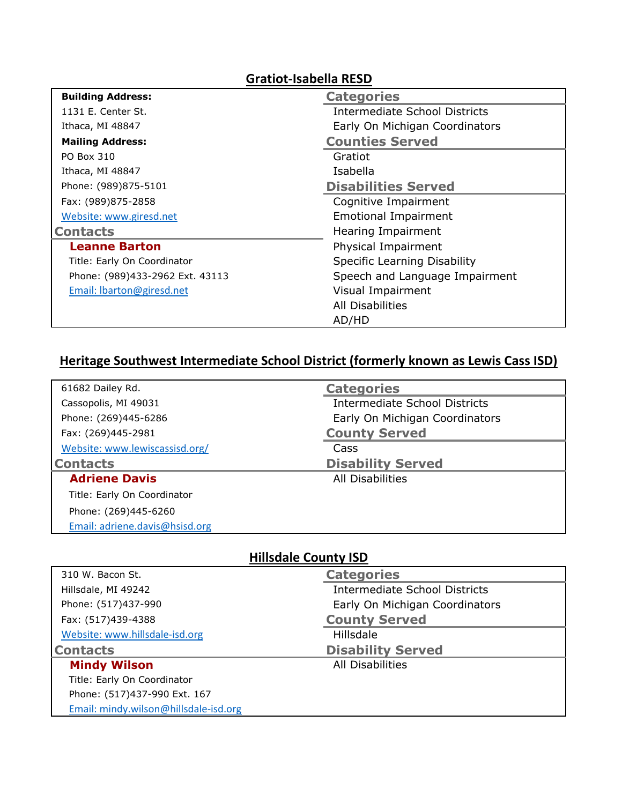| <b>Gratiot-Isabella RESD</b>    |                                |
|---------------------------------|--------------------------------|
| <b>Building Address:</b>        | <b>Categories</b>              |
| 1131 E. Center St.              | Intermediate School Districts  |
| Ithaca, MI 48847                | Early On Michigan Coordinators |
| <b>Mailing Address:</b>         | <b>Counties Served</b>         |
| PO Box 310                      | Gratiot                        |
| Ithaca, MI 48847                | Isabella                       |
| Phone: (989)875-5101            | <b>Disabilities Served</b>     |
| Fax: (989)875-2858              | Cognitive Impairment           |
| Website: www.giresd.net         | <b>Emotional Impairment</b>    |
| <b>Contacts</b>                 | Hearing Impairment             |
| <b>Leanne Barton</b>            | Physical Impairment            |
| Title: Early On Coordinator     | Specific Learning Disability   |
| Phone: (989)433-2962 Ext. 43113 | Speech and Language Impairment |
| Email: Ibarton@giresd.net       | Visual Impairment              |
|                                 | All Disabilities               |
|                                 | AD/HD                          |

# **Heritage Southwest Intermediate School District (formerly known as Lewis Cass ISD)**

| 61682 Dailey Rd.               | <b>Categories</b>              |
|--------------------------------|--------------------------------|
| Cassopolis, MI 49031           | Intermediate School Districts  |
| Phone: (269)445-6286           | Early On Michigan Coordinators |
| Fax: (269)445-2981             | <b>County Served</b>           |
| Website: www.lewiscassisd.org/ | Cass                           |
| <b>Contacts</b>                | <b>Disability Served</b>       |
| <b>Adriene Davis</b>           | All Disabilities               |
| Title: Early On Coordinator    |                                |
| Phone: (269)445-6260           |                                |
| Email: adriene.davis@hsisd.org |                                |

## **Hillsdale County ISD**

| 310 W. Bacon St.               | <b>Categories</b>                    |
|--------------------------------|--------------------------------------|
| Hillsdale, MI 49242            | <b>Intermediate School Districts</b> |
| Phone: (517)437-990            | Early On Michigan Coordinators       |
| Fax: (517)439-4388             | <b>County Served</b>                 |
| Website: www.hillsdale-isd.org | <b>Hillsdale</b>                     |
|                                |                                      |
| <b>Contacts</b>                | <b>Disability Served</b>             |
| <b>Mindy Wilson</b>            | All Disabilities                     |
| Title: Early On Coordinator    |                                      |
| Phone: (517)437-990 Ext. 167   |                                      |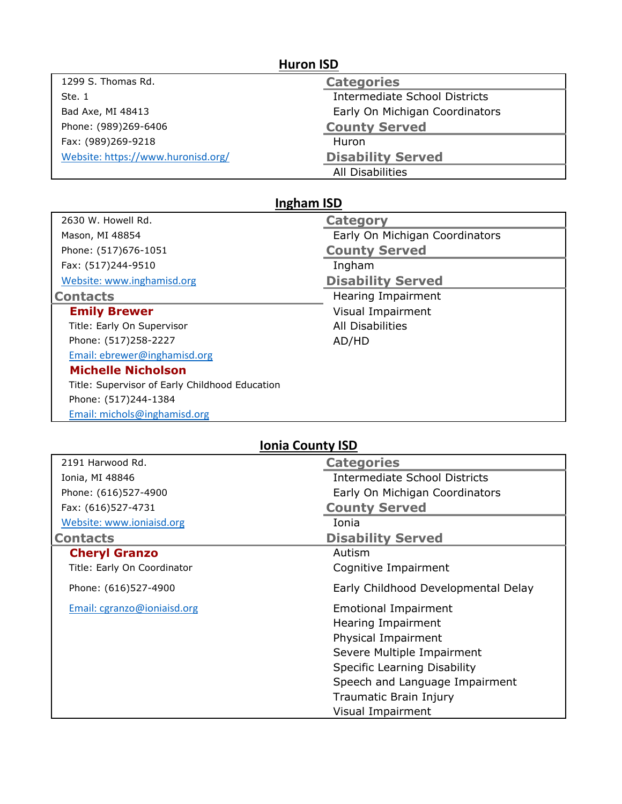| 1299 S. Thomas Rd.                 | <b>Categories</b>              |
|------------------------------------|--------------------------------|
| Ste. 1                             | Intermediate School Districts  |
| Bad Axe, MI 48413                  | Early On Michigan Coordinators |
| Phone: (989)269-6406               | <b>County Served</b>           |
| Fax: (989)269-9218                 | Huron                          |
| Website: https://www.huronisd.org/ | <b>Disability Served</b>       |
|                                    | All Disabilities               |

## **Ingham ISD**

| 2630 W. Howell Rd.                             | <b>Category</b>                |
|------------------------------------------------|--------------------------------|
| Mason, MI 48854                                | Early On Michigan Coordinators |
| Phone: (517)676-1051                           | <b>County Served</b>           |
| Fax: (517)244-9510                             | Ingham                         |
| Website: www.inghamisd.org                     | <b>Disability Served</b>       |
| <b>Contacts</b>                                | Hearing Impairment             |
| <b>Emily Brewer</b>                            | Visual Impairment              |
| Title: Early On Supervisor                     | All Disabilities               |
| Phone: (517)258-2227                           | AD/HD                          |
| Email: ebrewer@inghamisd.org                   |                                |
| <b>Michelle Nicholson</b>                      |                                |
| Title: Supervisor of Early Childhood Education |                                |
| Phone: (517)244-1384                           |                                |
| Email: michols@inghamisd.org                   |                                |

## **Ionia County ISD**

| 2191 Harwood Rd.            | <b>Categories</b>                         |
|-----------------------------|-------------------------------------------|
| Ionia, MI 48846             | Intermediate School Districts             |
| Phone: (616)527-4900        | Early On Michigan Coordinators            |
| Fax: (616)527-4731          | <b>County Served</b>                      |
| Website: www.ioniaisd.org   | Ionia                                     |
| <b>Contacts</b>             | <b>Disability Served</b>                  |
| <b>Cheryl Granzo</b>        | Autism                                    |
| Title: Early On Coordinator | Cognitive Impairment                      |
| Phone: (616)527-4900        | Early Childhood Developmental Delay       |
| Email: cgranzo@ioniaisd.org | <b>Emotional Impairment</b>               |
|                             | Hearing Impairment<br>Physical Impairment |
|                             | Severe Multiple Impairment                |
|                             | Specific Learning Disability              |
|                             | Speech and Language Impairment            |
|                             |                                           |
|                             | Traumatic Brain Injury                    |
|                             | Visual Impairment                         |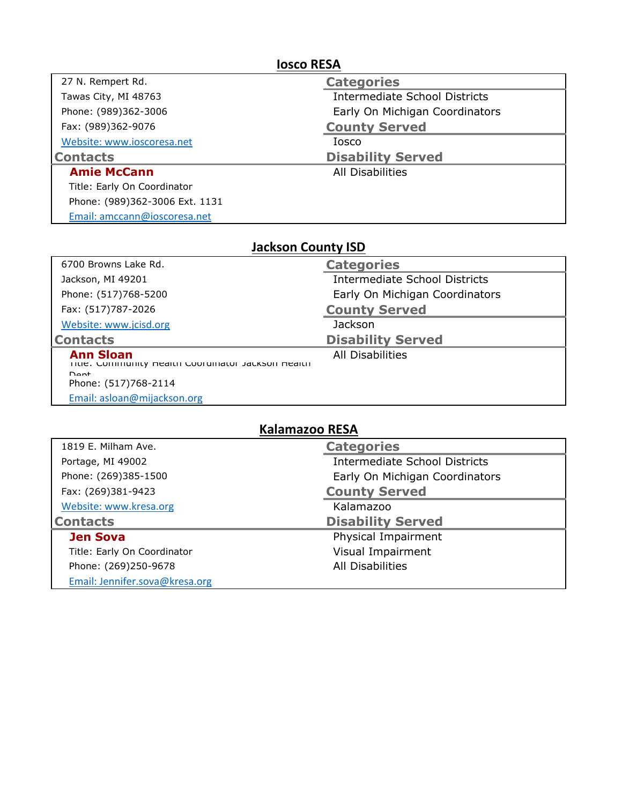| <b>Iosco RESA</b>              |                                |  |
|--------------------------------|--------------------------------|--|
| 27 N. Rempert Rd.              | <b>Categories</b>              |  |
| Tawas City, MI 48763           | Intermediate School Districts  |  |
| Phone: (989)362-3006           | Early On Michigan Coordinators |  |
| Fax: (989)362-9076             | <b>County Served</b>           |  |
| Website: www.ioscoresa.net     | Iosco                          |  |
| <b>Contacts</b>                | <b>Disability Served</b>       |  |
| <b>Amie McCann</b>             | All Disabilities               |  |
| Title: Early On Coordinator    |                                |  |
| Phone: (989)362-3006 Ext. 1131 |                                |  |
| Email: amccann@ioscoresa.net   |                                |  |

| <b>Jackson County ISD</b> |  |
|---------------------------|--|
|                           |  |

| 6700 Browns Lake Rd.                                                              | <b>Categories</b>                    |
|-----------------------------------------------------------------------------------|--------------------------------------|
| Jackson, MI 49201                                                                 | <b>Intermediate School Districts</b> |
| Phone: (517)768-5200                                                              | Early On Michigan Coordinators       |
| Fax: (517)787-2026                                                                | <b>County Served</b>                 |
| Website: www.jcisd.org                                                            | <b>Jackson</b>                       |
| <b>Contacts</b>                                                                   | <b>Disability Served</b>             |
| <b>Ann Sloan</b><br>TITIE: Community Health Coordinator Jackson Health<br>$D$ ont | All Disabilities                     |
| Phone: (517)768-2114                                                              |                                      |
| Email: asloan@mijackson.org                                                       |                                      |

## **Kalamazoo RESA**

| 1819 E. Milham Ave.         | <b>Categories</b>                    |
|-----------------------------|--------------------------------------|
| Portage, MI 49002           | <b>Intermediate School Districts</b> |
| Phone: (269)385-1500        | Early On Michigan Coordinators       |
| Fax: (269)381-9423          | <b>County Served</b>                 |
| Website: www.kresa.org      | Kalamazoo                            |
| <b>Contacts</b>             | <b>Disability Served</b>             |
|                             |                                      |
| <b>Jen Sova</b>             | Physical Impairment                  |
| Title: Early On Coordinator | Visual Impairment                    |
| Phone: (269)250-9678        | All Disabilities                     |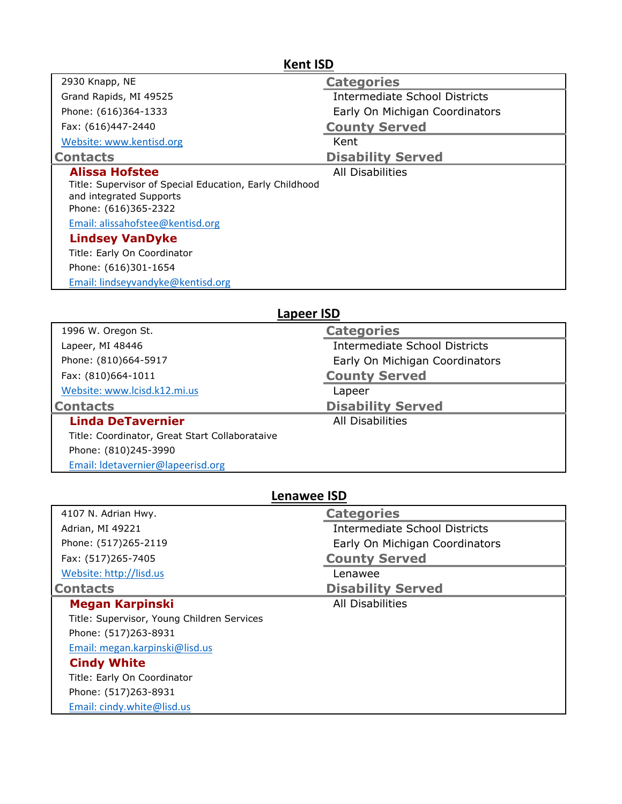| <b>Kent ISD</b>                                                                                                                     |                                |  |
|-------------------------------------------------------------------------------------------------------------------------------------|--------------------------------|--|
| 2930 Knapp, NE                                                                                                                      | <b>Categories</b>              |  |
| Grand Rapids, MI 49525                                                                                                              | Intermediate School Districts  |  |
| Phone: (616)364-1333                                                                                                                | Early On Michigan Coordinators |  |
| Fax: (616)447-2440                                                                                                                  | <b>County Served</b>           |  |
| Website: www.kentisd.org                                                                                                            | Kent                           |  |
| <b>Contacts</b>                                                                                                                     | <b>Disability Served</b>       |  |
| <b>Alissa Hofstee</b><br>Title: Supervisor of Special Education, Early Childhood<br>and integrated Supports<br>Phone: (616)365-2322 | All Disabilities               |  |
| Email: alissahofstee@kentisd.org                                                                                                    |                                |  |
| <b>Lindsey VanDyke</b>                                                                                                              |                                |  |
| Title: Early On Coordinator                                                                                                         |                                |  |
| Phone: (616)301-1654                                                                                                                |                                |  |
| Email: lindseyvandyke@kentisd.org                                                                                                   |                                |  |

## **Lapeer ISD**

| 1996 W. Oregon St.                             | <b>Categories</b>                    |
|------------------------------------------------|--------------------------------------|
| Lapeer, MI 48446                               | <b>Intermediate School Districts</b> |
| Phone: (810)664-5917                           | Early On Michigan Coordinators       |
| Fax: (810)664-1011                             | <b>County Served</b>                 |
| Website: www.lcisd.k12.mi.us                   | Lapeer                               |
| <b>Contacts</b>                                | <b>Disability Served</b>             |
| <b>Linda DeTavernier</b>                       | All Disabilities                     |
| Title: Coordinator, Great Start Collaborataive |                                      |
| Phone: (810)245-3990                           |                                      |
| Email: Idetavernier@lapeerisd.org              |                                      |

| <b>Lenawee ISD</b>                         |                                      |  |
|--------------------------------------------|--------------------------------------|--|
| 4107 N. Adrian Hwy.                        | <b>Categories</b>                    |  |
| Adrian, MI 49221                           | <b>Intermediate School Districts</b> |  |
| Phone: (517)265-2119                       | Early On Michigan Coordinators       |  |
| Fax: (517)265-7405                         | <b>County Served</b>                 |  |
| Website: http://lisd.us                    | Lenawee                              |  |
| <b>Contacts</b>                            | <b>Disability Served</b>             |  |
| <b>Megan Karpinski</b>                     | <b>All Disabilities</b>              |  |
| Title: Supervisor, Young Children Services |                                      |  |
| Phone: (517)263-8931                       |                                      |  |
| Email: megan.karpinski@lisd.us             |                                      |  |
| <b>Cindy White</b>                         |                                      |  |
| Title: Early On Coordinator                |                                      |  |
| Phone: (517)263-8931                       |                                      |  |
| Email: cindy.white@lisd.us                 |                                      |  |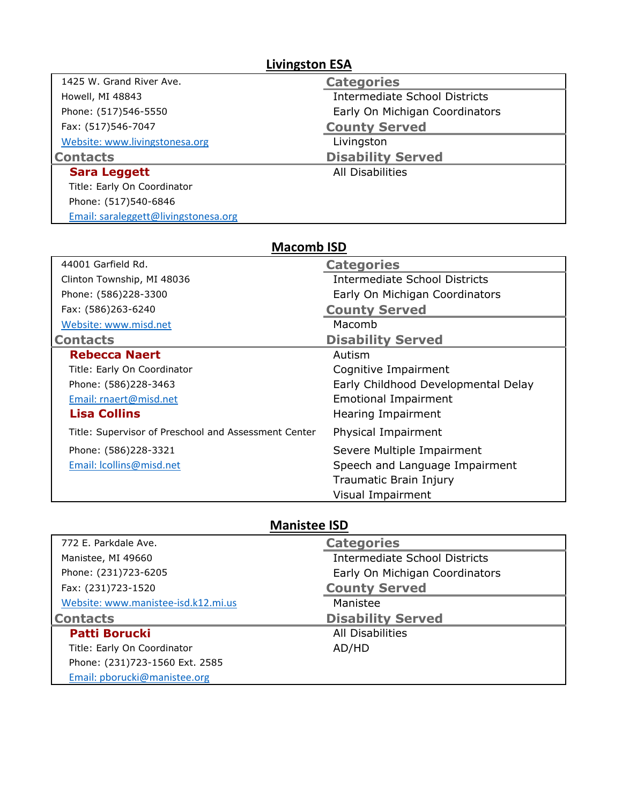| <b>Livingston ESA</b>                |                                      |  |
|--------------------------------------|--------------------------------------|--|
| 1425 W. Grand River Ave.             | <b>Categories</b>                    |  |
| Howell, MI 48843                     | <b>Intermediate School Districts</b> |  |
| Phone: (517)546-5550                 | Early On Michigan Coordinators       |  |
| Fax: (517)546-7047                   | <b>County Served</b>                 |  |
| Website: www.livingstonesa.org       | Livingston                           |  |
| <b>Contacts</b>                      | <b>Disability Served</b>             |  |
| <b>Sara Leggett</b>                  | All Disabilities                     |  |
| Title: Early On Coordinator          |                                      |  |
| Phone: (517)540-6846                 |                                      |  |
| Email: saraleggett@livingstonesa.org |                                      |  |

## **Macomb ISD**

| 44001 Garfield Rd.                                   | <b>Categories</b>                    |
|------------------------------------------------------|--------------------------------------|
| Clinton Township, MI 48036                           | <b>Intermediate School Districts</b> |
| Phone: (586)228-3300                                 | Early On Michigan Coordinators       |
| Fax: (586)263-6240                                   | <b>County Served</b>                 |
| Website: www.misd.net                                | Macomb                               |
| <b>Contacts</b>                                      | <b>Disability Served</b>             |
| <b>Rebecca Naert</b>                                 | Autism                               |
| Title: Early On Coordinator                          | Cognitive Impairment                 |
| Phone: (586)228-3463                                 | Early Childhood Developmental Delay  |
| Email: rnaert@misd.net                               | <b>Emotional Impairment</b>          |
| <b>Lisa Collins</b>                                  | Hearing Impairment                   |
| Title: Supervisor of Preschool and Assessment Center | Physical Impairment                  |
| Phone: (586)228-3321                                 | Severe Multiple Impairment           |
| Email: Icollins@misd.net                             | Speech and Language Impairment       |
|                                                      | Traumatic Brain Injury               |
|                                                      | Visual Impairment                    |

## **Manistee ISD**

| 772 E. Parkdale Ave.                | <b>Categories</b>                    |
|-------------------------------------|--------------------------------------|
| Manistee, MI 49660                  | <b>Intermediate School Districts</b> |
| Phone: (231)723-6205                | Early On Michigan Coordinators       |
| Fax: (231)723-1520                  | <b>County Served</b>                 |
| Website: www.manistee-isd.k12.mi.us | Manistee                             |
| <b>Contacts</b>                     | <b>Disability Served</b>             |
| <b>Patti Borucki</b>                | All Disabilities                     |
| Title: Early On Coordinator         | AD/HD                                |
| Phone: (231)723-1560 Ext. 2585      |                                      |
| Email: pborucki@manistee.org        |                                      |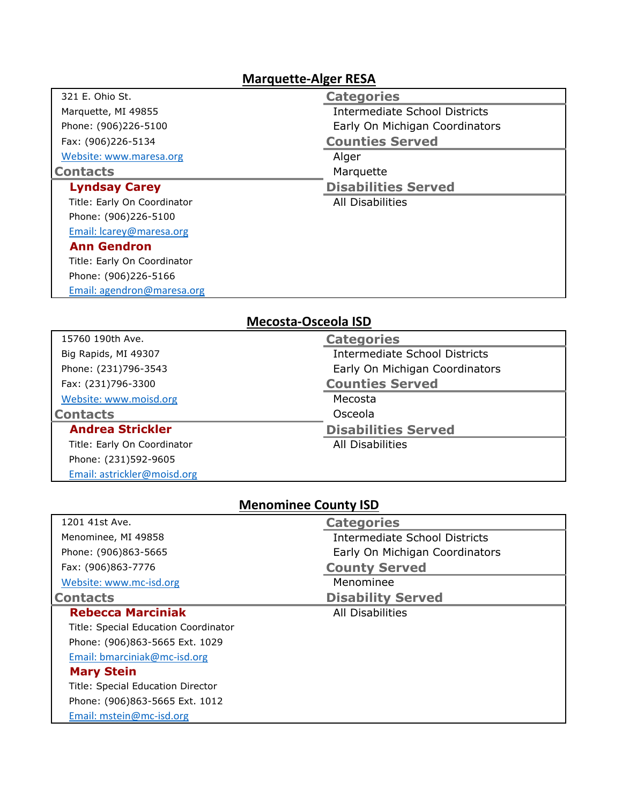## **Marquette-Alger RESA**

| 321 E. Ohio St.             | <b>Categories</b>                    |
|-----------------------------|--------------------------------------|
| Marquette, MI 49855         | <b>Intermediate School Districts</b> |
| Phone: (906)226-5100        | Early On Michigan Coordinators       |
| Fax: (906)226-5134          | <b>Counties Served</b>               |
| Website: www.maresa.org     | Alger                                |
| <b>Contacts</b>             | Marquette                            |
| <b>Lyndsay Carey</b>        | <b>Disabilities Served</b>           |
| Title: Early On Coordinator | All Disabilities                     |
| Phone: (906)226-5100        |                                      |
| Email: Icarey@maresa.org    |                                      |
| <b>Ann Gendron</b>          |                                      |
| Title: Early On Coordinator |                                      |
| Phone: (906)226-5166        |                                      |
| Email: agendron@maresa.org  |                                      |

## **Mecosta-Osceola ISD**

| 15760 190th Ave.            | <b>Categories</b>              |
|-----------------------------|--------------------------------|
| Big Rapids, MI 49307        | Intermediate School Districts  |
| Phone: (231)796-3543        | Early On Michigan Coordinators |
| Fax: (231)796-3300          | <b>Counties Served</b>         |
| Website: www.moisd.org      | Mecosta                        |
| <b>Contacts</b>             | Osceola                        |
| <b>Andrea Strickler</b>     | <b>Disabilities Served</b>     |
| Title: Early On Coordinator | All Disabilities               |
| Phone: (231)592-9605        |                                |
| Email: astrickler@moisd.org |                                |

# **Menominee County ISD**

| 1201 41st Ave.                       | <b>Categories</b>                    |
|--------------------------------------|--------------------------------------|
| Menominee, MI 49858                  | <b>Intermediate School Districts</b> |
| Phone: (906)863-5665                 | Early On Michigan Coordinators       |
| Fax: (906)863-7776                   | <b>County Served</b>                 |
| Website: www.mc-isd.org              | Menominee                            |
| <b>Contacts</b>                      | <b>Disability Served</b>             |
| <b>Rebecca Marciniak</b>             | All Disabilities                     |
| Title: Special Education Coordinator |                                      |
| Phone: (906)863-5665 Ext. 1029       |                                      |
| Email: bmarciniak@mc-isd.org         |                                      |
| <b>Mary Stein</b>                    |                                      |
| Title: Special Education Director    |                                      |
| Phone: (906)863-5665 Ext. 1012       |                                      |
| Email: mstein@mc-isd.org             |                                      |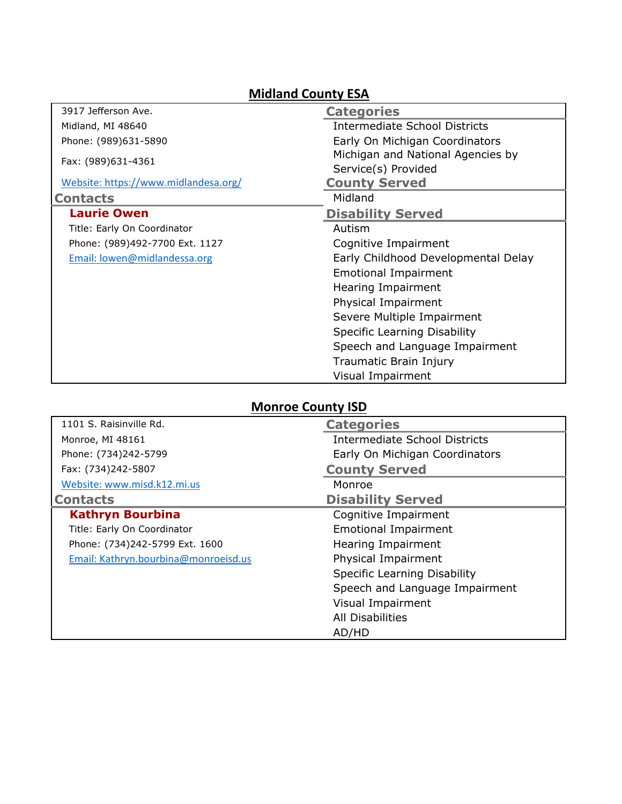## **Midland County ESA**

| 3917 Jefferson Ave.                  | <b>Categories</b>                    |
|--------------------------------------|--------------------------------------|
|                                      |                                      |
| Midland, MI 48640                    | <b>Intermediate School Districts</b> |
| Phone: (989)631-5890                 | Early On Michigan Coordinators       |
|                                      | Michigan and National Agencies by    |
| Fax: (989)631-4361                   | Service(s) Provided                  |
| Website: https://www.midlandesa.org/ | <b>County Served</b>                 |
| <b>Contacts</b>                      | Midland                              |
| <b>Laurie Owen</b>                   | <b>Disability Served</b>             |
| Title: Early On Coordinator          | Autism                               |
| Phone: (989)492-7700 Ext. 1127       | Cognitive Impairment                 |
| Email: lowen@midlandessa.org         | Early Childhood Developmental Delay  |
|                                      | <b>Emotional Impairment</b>          |
|                                      | Hearing Impairment                   |
|                                      | Physical Impairment                  |
|                                      | Severe Multiple Impairment           |
|                                      | Specific Learning Disability         |
|                                      | Speech and Language Impairment       |
|                                      | Traumatic Brain Injury               |
|                                      | Visual Impairment                    |

## **Monroe County ISD**

| 1101 S. Raisinville Rd.              | <b>Categories</b>                    |
|--------------------------------------|--------------------------------------|
| Monroe, MI 48161                     | <b>Intermediate School Districts</b> |
| Phone: (734)242-5799                 | Early On Michigan Coordinators       |
| Fax: (734)242-5807                   | <b>County Served</b>                 |
| Website: www.misd.k12.mi.us          | Monroe                               |
| <b>Contacts</b>                      | <b>Disability Served</b>             |
| <b>Kathryn Bourbina</b>              | Cognitive Impairment                 |
| Title: Early On Coordinator          | <b>Emotional Impairment</b>          |
| Phone: (734)242-5799 Ext. 1600       | Hearing Impairment                   |
| Email: Kathryn.bourbina@monroeisd.us | Physical Impairment                  |
|                                      | Specific Learning Disability         |
|                                      | Speech and Language Impairment       |
|                                      | Visual Impairment                    |
|                                      | All Disabilities                     |
|                                      | AD/HD                                |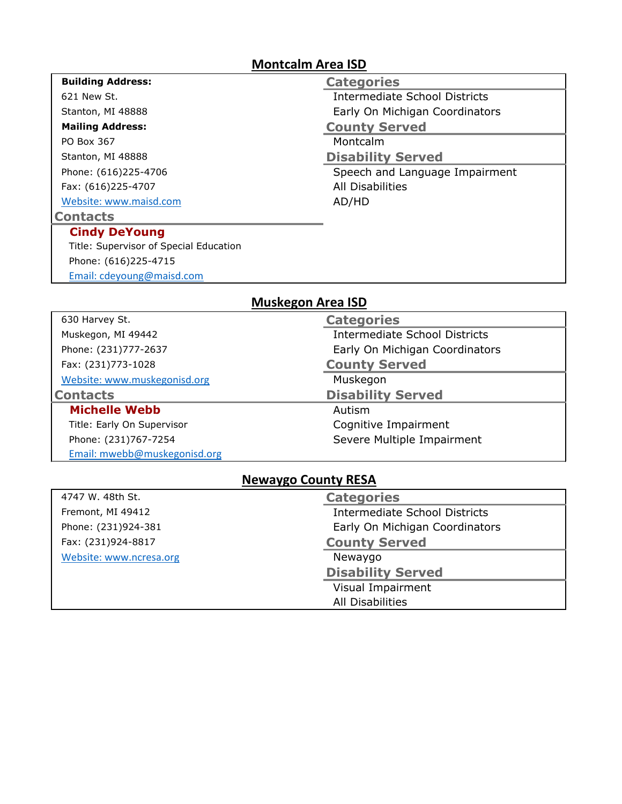#### **Montcalm Area ISD**

| <b>Building Address:</b>               | <b>Categories</b>                    |
|----------------------------------------|--------------------------------------|
| 621 New St.                            | <b>Intermediate School Districts</b> |
| Stanton, MI 48888                      | Early On Michigan Coordinators       |
| <b>Mailing Address:</b>                | <b>County Served</b>                 |
| PO Box 367                             | Montcalm                             |
| Stanton, MI 48888                      | <b>Disability Served</b>             |
| Phone: (616)225-4706                   | Speech and Language Impairment       |
| Fax: (616)225-4707                     | <b>All Disabilities</b>              |
| Website: www.maisd.com                 | AD/HD                                |
| <b>Contacts</b>                        |                                      |
| <b>Cindy DeYoung</b>                   |                                      |
| Title: Supervisor of Special Education |                                      |
| Phone: (616)225-4715                   |                                      |
| Email: cdeyoung@maisd.com              |                                      |

## **Muskegon Area ISD**

| 630 Harvey St.               | <b>Categories</b>                    |
|------------------------------|--------------------------------------|
| Muskegon, MI 49442           | <b>Intermediate School Districts</b> |
| Phone: (231)777-2637         | Early On Michigan Coordinators       |
| Fax: (231)773-1028           | <b>County Served</b>                 |
| Website: www.muskegonisd.org | Muskegon                             |
| <b>Contacts</b>              | <b>Disability Served</b>             |
| <b>Michelle Webb</b>         | Autism                               |
| Title: Early On Supervisor   | Cognitive Impairment                 |
| Phone: (231)767-7254         | Severe Multiple Impairment           |
| Email: mwebb@muskegonisd.org |                                      |

#### **Newaygo County RESA**

| 4747 W. 48th St.        | <b>Categories</b>                    |
|-------------------------|--------------------------------------|
| Fremont, MI 49412       | <b>Intermediate School Districts</b> |
| Phone: (231)924-381     | Early On Michigan Coordinators       |
| Fax: (231)924-8817      | <b>County Served</b>                 |
| Website: www.ncresa.org | Newaygo                              |
|                         | <b>Disability Served</b>             |
|                         | Visual Impairment                    |
|                         | All Disabilities                     |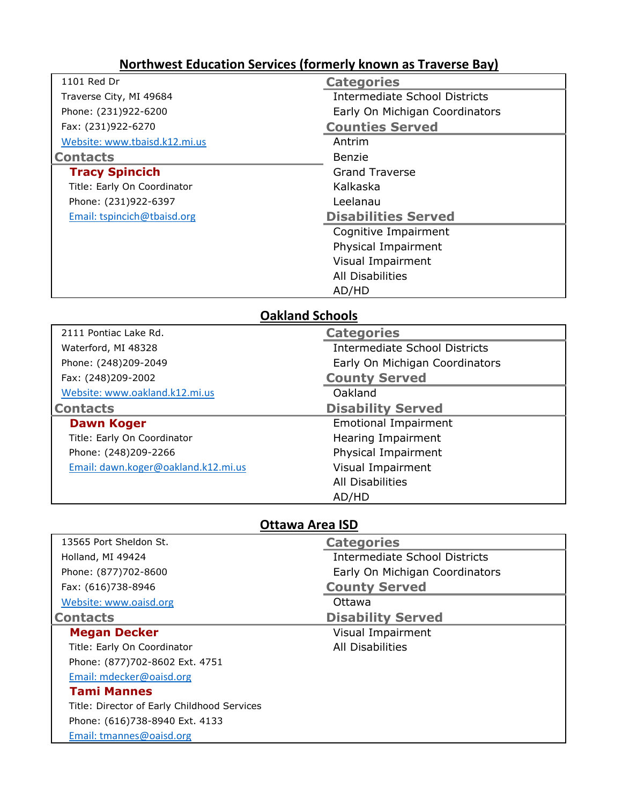## **Northwest Education Services (formerly known as Traverse Bay)**

| 1101 Red Dr                   | <b>Categories</b>                    |
|-------------------------------|--------------------------------------|
| Traverse City, MI 49684       | <b>Intermediate School Districts</b> |
| Phone: (231)922-6200          | Early On Michigan Coordinators       |
| Fax: (231)922-6270            | <b>Counties Served</b>               |
| Website: www.tbaisd.k12.mi.us | Antrim                               |
| <b>Contacts</b>               | Benzie                               |
| <b>Tracy Spincich</b>         | <b>Grand Traverse</b>                |
| Title: Early On Coordinator   | Kalkaska                             |
| Phone: (231)922-6397          | Leelanau                             |
| Email: tspincich@tbaisd.org   | <b>Disabilities Served</b>           |
|                               | Cognitive Impairment                 |
|                               | Physical Impairment                  |
|                               | Visual Impairment                    |
|                               | All Disabilities                     |
|                               | AD/HD                                |

## **Oakland Schools**

| 2111 Pontiac Lake Rd.               | <b>Categories</b>                    |
|-------------------------------------|--------------------------------------|
| Waterford, MI 48328                 | <b>Intermediate School Districts</b> |
| Phone: (248)209-2049                | Early On Michigan Coordinators       |
| Fax: (248)209-2002                  | <b>County Served</b>                 |
| Website: www.oakland.k12.mi.us      | Oakland                              |
| <b>Contacts</b>                     | <b>Disability Served</b>             |
| <b>Dawn Koger</b>                   | <b>Emotional Impairment</b>          |
| Title: Early On Coordinator         | Hearing Impairment                   |
| Phone: (248)209-2266                | Physical Impairment                  |
| Email: dawn.koger@oakland.k12.mi.us | Visual Impairment                    |
|                                     | All Disabilities                     |
|                                     | AD/HD                                |

#### **Ottawa Area ISD**

| 13565 Port Sheldon St.                      | <b>Categories</b>              |
|---------------------------------------------|--------------------------------|
| Holland, MI 49424                           | Intermediate School Districts  |
| Phone: (877)702-8600                        | Early On Michigan Coordinators |
| Fax: (616)738-8946                          | <b>County Served</b>           |
| Website: www.oaisd.org                      | Ottawa                         |
| <b>Contacts</b>                             | <b>Disability Served</b>       |
| <b>Megan Decker</b>                         | Visual Impairment              |
| Title: Early On Coordinator                 | <b>All Disabilities</b>        |
| Phone: (877)702-8602 Ext. 4751              |                                |
| Email: mdecker@oaisd.org                    |                                |
| <b>Tami Mannes</b>                          |                                |
| Title: Director of Early Childhood Services |                                |
| Phone: (616)738-8940 Ext. 4133              |                                |
| Email: tmannes@oaisd.org                    |                                |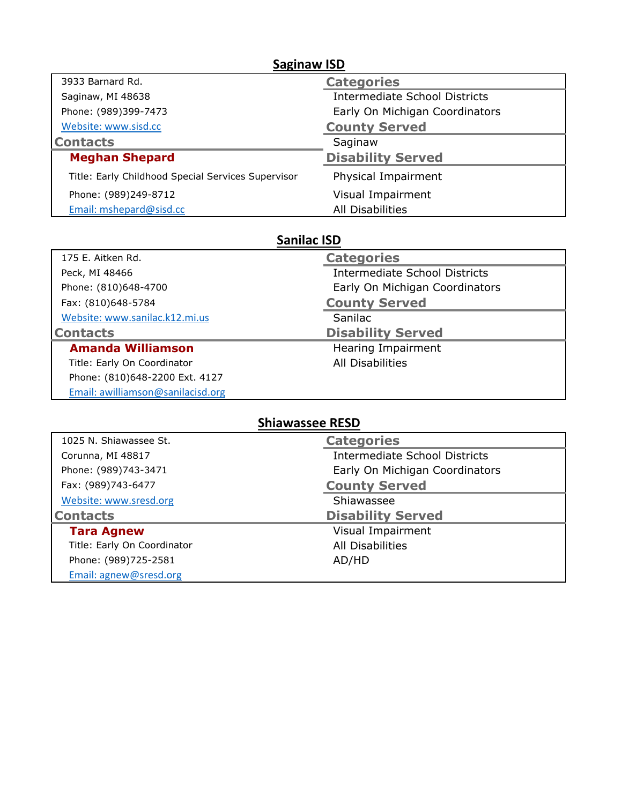| <b>Saginaw ISD</b>                                 |                                |
|----------------------------------------------------|--------------------------------|
| 3933 Barnard Rd.                                   | <b>Categories</b>              |
| Saginaw, MI 48638                                  | Intermediate School Districts  |
| Phone: (989)399-7473                               | Early On Michigan Coordinators |
| Website: www.sisd.cc                               | <b>County Served</b>           |
| <b>Contacts</b>                                    | Saginaw                        |
| <b>Meghan Shepard</b>                              | <b>Disability Served</b>       |
| Title: Early Childhood Special Services Supervisor | Physical Impairment            |
| Phone: (989)249-8712                               | Visual Impairment              |
| Email: mshepard@sisd.cc                            | All Disabilities               |

## **Sanilac ISD**

| 175 E. Aitken Rd.              | <b>Categories</b>                    |
|--------------------------------|--------------------------------------|
| Peck, MI 48466                 | <b>Intermediate School Districts</b> |
| Phone: (810)648-4700           | Early On Michigan Coordinators       |
| Fax: (810)648-5784             | <b>County Served</b>                 |
| Website: www.sanilac.k12.mi.us | Sanilac                              |
| <b>Contacts</b>                | <b>Disability Served</b>             |
|                                |                                      |
| <b>Amanda Williamson</b>       | Hearing Impairment                   |
| Title: Early On Coordinator    | All Disabilities                     |
| Phone: (810)648-2200 Ext. 4127 |                                      |

# **Shiawassee RESD**

| 1025 N. Shiawassee St.      | <b>Categories</b>                    |
|-----------------------------|--------------------------------------|
| Corunna, MI 48817           | <b>Intermediate School Districts</b> |
| Phone: (989)743-3471        | Early On Michigan Coordinators       |
| Fax: (989)743-6477          | <b>County Served</b>                 |
| Website: www.sresd.org      | Shiawassee                           |
| <b>Contacts</b>             | <b>Disability Served</b>             |
| <b>Tara Agnew</b>           | Visual Impairment                    |
| Title: Early On Coordinator | <b>All Disabilities</b>              |
| Phone: (989)725-2581        | AD/HD                                |
| Email: agnew@sresd.org      |                                      |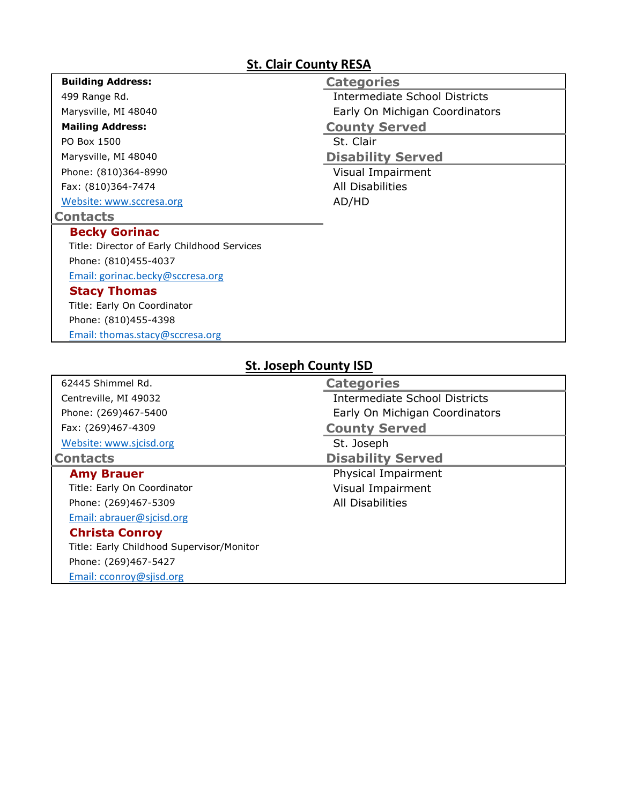# **St. Clair County RESA**

| <b>Building Address:</b>                    | <b>Categories</b>              |
|---------------------------------------------|--------------------------------|
| 499 Range Rd.                               | Intermediate School Districts  |
| Marysville, MI 48040                        | Early On Michigan Coordinators |
| <b>Mailing Address:</b>                     | <b>County Served</b>           |
| PO Box 1500                                 | St. Clair                      |
| Marysville, MI 48040                        | <b>Disability Served</b>       |
| Phone: (810)364-8990                        | Visual Impairment              |
| Fax: (810)364-7474                          | All Disabilities               |
| Website: www.sccresa.org                    | AD/HD                          |
| <b>Contacts</b>                             |                                |
| <b>Becky Gorinac</b>                        |                                |
| Title: Director of Early Childhood Services |                                |
| Phone: (810)455-4037                        |                                |
| Email: gorinac.becky@sccresa.org            |                                |
| <b>Stacy Thomas</b>                         |                                |
| Title: Early On Coordinator                 |                                |
| Phone: (810)455-4398                        |                                |
| Email: thomas.stacy@sccresa.org             |                                |

| St. JOSEPN COUNTY ISD                     |                                |  |
|-------------------------------------------|--------------------------------|--|
| 62445 Shimmel Rd.                         | <b>Categories</b>              |  |
| Centreville, MI 49032                     | Intermediate School Districts  |  |
| Phone: (269)467-5400                      | Early On Michigan Coordinators |  |
| Fax: (269)467-4309                        | <b>County Served</b>           |  |
| Website: www.sjcisd.org                   | St. Joseph                     |  |
| <b>Contacts</b>                           | <b>Disability Served</b>       |  |
| <b>Amy Brauer</b>                         | Physical Impairment            |  |
| Title: Early On Coordinator               | Visual Impairment              |  |
| Phone: (269)467-5309                      | <b>All Disabilities</b>        |  |
| Email: abrauer@sjcisd.org                 |                                |  |
| <b>Christa Conroy</b>                     |                                |  |
| Title: Early Childhood Supervisor/Monitor |                                |  |
| Phone: (269)467-5427                      |                                |  |
| Email: cconroy@sjisd.org                  |                                |  |

#### **St. Joseph County ISD**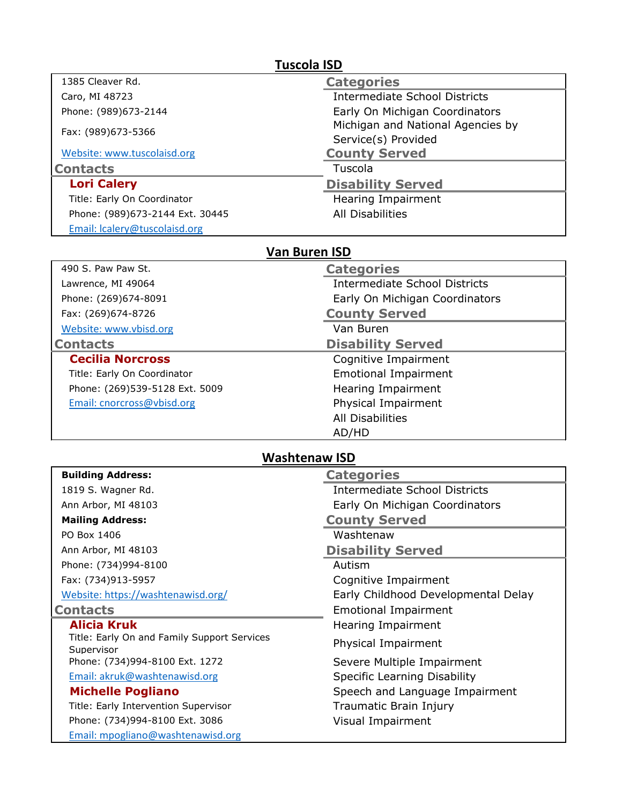| <b>Tuscola ISD</b>                          |                                      |  |  |
|---------------------------------------------|--------------------------------------|--|--|
| 1385 Cleaver Rd.                            | <b>Categories</b>                    |  |  |
| Caro, MI 48723                              | <b>Intermediate School Districts</b> |  |  |
| Phone: (989)673-2144                        | Early On Michigan Coordinators       |  |  |
| Fax: (989)673-5366                          | Michigan and National Agencies by    |  |  |
|                                             | Service(s) Provided                  |  |  |
| Website: www.tuscolaisd.org                 | <b>County Served</b>                 |  |  |
| <b>Contacts</b>                             | Tuscola                              |  |  |
| <b>Lori Calery</b>                          | <b>Disability Served</b>             |  |  |
| Title: Early On Coordinator                 | Hearing Impairment                   |  |  |
| Phone: (989)673-2144 Ext. 30445             | <b>All Disabilities</b>              |  |  |
| Email: Icalery@tuscolaisd.org               |                                      |  |  |
|                                             | <b>Van Buren ISD</b>                 |  |  |
| 490 S. Paw Paw St.                          | <b>Categories</b>                    |  |  |
| Lawrence, MI 49064                          | <b>Intermediate School Districts</b> |  |  |
| Phone: (269)674-8091                        | Early On Michigan Coordinators       |  |  |
| Fax: (269)674-8726                          | <b>County Served</b>                 |  |  |
| Website: www.vbisd.org                      | Van Buren                            |  |  |
| <b>Contacts</b>                             | <b>Disability Served</b>             |  |  |
| <b>Cecilia Norcross</b>                     | Cognitive Impairment                 |  |  |
| Title: Early On Coordinator                 | <b>Emotional Impairment</b>          |  |  |
| Phone: (269)539-5128 Ext. 5009              | Hearing Impairment                   |  |  |
| Email: cnorcross@vbisd.org                  | Physical Impairment                  |  |  |
|                                             | <b>All Disabilities</b>              |  |  |
|                                             | AD/HD                                |  |  |
|                                             | <b>Washtenaw ISD</b>                 |  |  |
| <b>Building Address:</b>                    | <b>Categories</b>                    |  |  |
| 1819 S. Wagner Rd.                          | <b>Intermediate School Districts</b> |  |  |
| Ann Arbor, MI 48103                         | Early On Michigan Coordinators       |  |  |
| <b>Mailing Address:</b>                     | <b>County Served</b>                 |  |  |
| PO Box 1406                                 | Washtenaw                            |  |  |
| Ann Arbor, MI 48103                         | <b>Disability Served</b>             |  |  |
| Phone: (734)994-8100                        | Autism                               |  |  |
| Fax: (734)913-5957                          | Cognitive Impairment                 |  |  |
| Website: https://washtenawisd.org/          | Early Childhood Developmental Delay  |  |  |
| <b>Contacts</b>                             | <b>Emotional Impairment</b>          |  |  |
| <b>Alicia Kruk</b>                          | Hearing Impairment                   |  |  |
| Title: Early On and Family Support Services | Physical Impairment                  |  |  |
| Supervisor                                  |                                      |  |  |
| Phone: (734)994-8100 Ext. 1272              | Severe Multiple Impairment           |  |  |
| Email: akruk@washtenawisd.org               | <b>Specific Learning Disability</b>  |  |  |
| <b>Michelle Pogliano</b>                    | Speech and Language Impairment       |  |  |
| Title: Early Intervention Supervisor        | Traumatic Brain Injury               |  |  |
| Phone: (734)994-8100 Ext. 3086              | Visual Impairment                    |  |  |
| Email: mpogliano@washtenawisd.org           |                                      |  |  |